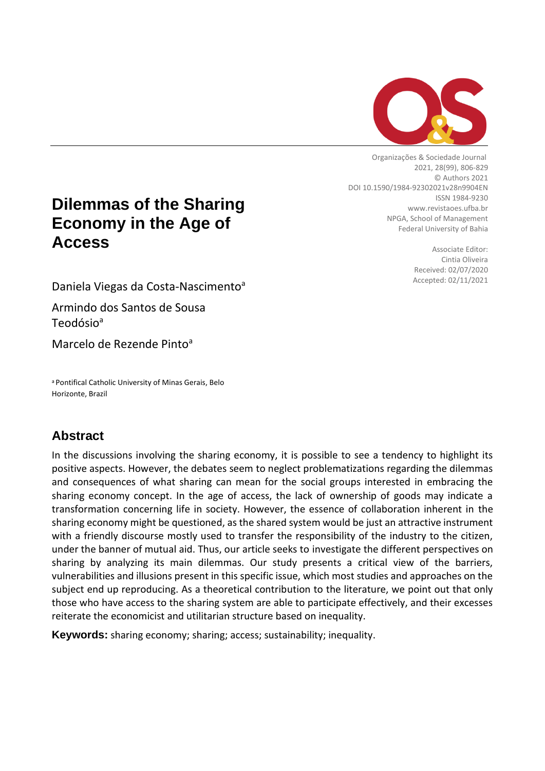

Organizações & Sociedade Journal 2021, 28(99), 806-829 © Authors 2021 DOI 10.1590/1984-92302021v28n9904EN ISSN 1984-9230 www.revistaoes.ufba.br NPGA, School of Management Federal University of Bahia

> Associate Editor: Cintia Oliveira Received: 02/07/2020 Accepted: 02/11/2021

**Dilemmas of the Sharing Economy in the Age of Access**

Daniela Viegas da Costa-Nascimento<sup>a</sup>

Armindo dos Santos de Sousa Teodósio<sup>a</sup>

Marcelo de Rezende Pinto<sup>a</sup>

<sup>a</sup> Pontifical Catholic University of Minas Gerais, Belo Horizonte, Brazil

# **Abstract**

In the discussions involving the sharing economy, it is possible to see a tendency to highlight its positive aspects. However, the debates seem to neglect problematizations regarding the dilemmas and consequences of what sharing can mean for the social groups interested in embracing the sharing economy concept. In the age of access, the lack of ownership of goods may indicate a transformation concerning life in society. However, the essence of collaboration inherent in the sharing economy might be questioned, as the shared system would be just an attractive instrument with a friendly discourse mostly used to transfer the responsibility of the industry to the citizen, under the banner of mutual aid. Thus, our article seeks to investigate the different perspectives on sharing by analyzing its main dilemmas. Our study presents a critical view of the barriers, vulnerabilities and illusions present in this specific issue, which most studies and approaches on the subject end up reproducing. As a theoretical contribution to the literature, we point out that only those who have access to the sharing system are able to participate effectively, and their excesses reiterate the economicist and utilitarian structure based on inequality.

**Keywords:** sharing economy; sharing; access; sustainability; inequality.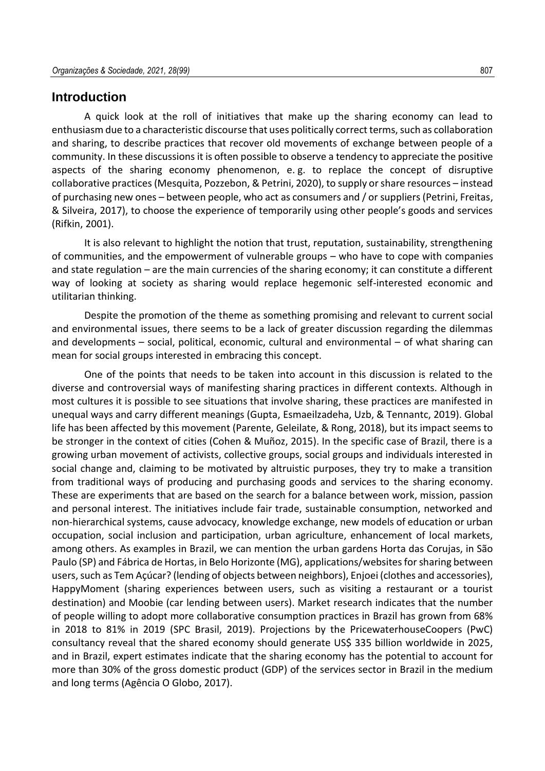#### **Introduction**

A quick look at the roll of initiatives that make up the sharing economy can lead to enthusiasm due to a characteristic discourse that uses politically correct terms, such as collaboration and sharing, to describe practices that recover old movements of exchange between people of a community. In these discussions it is often possible to observe a tendency to appreciate the positive aspects of the sharing economy phenomenon, e. g. to replace the concept of disruptive collaborative practices (Mesquita, Pozzebon, & Petrini, 2020), to supply or share resources – instead of purchasing new ones – between people, who act as consumers and / or suppliers (Petrini, Freitas, & Silveira, 2017), to choose the experience of temporarily using other people's goods and services (Rifkin, 2001).

It is also relevant to highlight the notion that trust, reputation, sustainability, strengthening of communities, and the empowerment of vulnerable groups – who have to cope with companies and state regulation – are the main currencies of the sharing economy; it can constitute a different way of looking at society as sharing would replace hegemonic self-interested economic and utilitarian thinking.

Despite the promotion of the theme as something promising and relevant to current social and environmental issues, there seems to be a lack of greater discussion regarding the dilemmas and developments – social, political, economic, cultural and environmental – of what sharing can mean for social groups interested in embracing this concept.

One of the points that needs to be taken into account in this discussion is related to the diverse and controversial ways of manifesting sharing practices in different contexts. Although in most cultures it is possible to see situations that involve sharing, these practices are manifested in unequal ways and carry different meanings (Gupta, Esmaeilzadeha, Uzb, & Tennantc, 2019). Global life has been affected by this movement (Parente, Geleilate, & Rong, 2018), but its impact seems to be stronger in the context of cities (Cohen & Muñoz, 2015). In the specific case of Brazil, there is a growing urban movement of activists, collective groups, social groups and individuals interested in social change and, claiming to be motivated by altruistic purposes, they try to make a transition from traditional ways of producing and purchasing goods and services to the sharing economy. These are experiments that are based on the search for a balance between work, mission, passion and personal interest. The initiatives include fair trade, sustainable consumption, networked and non-hierarchical systems, cause advocacy, knowledge exchange, new models of education or urban occupation, social inclusion and participation, urban agriculture, enhancement of local markets, among others. As examples in Brazil, we can mention the urban gardens Horta das Corujas, in São Paulo (SP) and Fábrica de Hortas, in Belo Horizonte (MG), applications/websites for sharing between users, such as Tem Açúcar? (lending of objects between neighbors), Enjoei (clothes and accessories), HappyMoment (sharing experiences between users, such as visiting a restaurant or a tourist destination) and Moobie (car lending between users). Market research indicates that the number of people willing to adopt more collaborative consumption practices in Brazil has grown from 68% in 2018 to 81% in 2019 (SPC Brasil, 2019). Projections by the PricewaterhouseCoopers (PwC) consultancy reveal that the shared economy should generate US\$ 335 billion worldwide in 2025, and in Brazil, expert estimates indicate that the sharing economy has the potential to account for more than 30% of the gross domestic product (GDP) of the services sector in Brazil in the medium and long terms (Agência O Globo, 2017).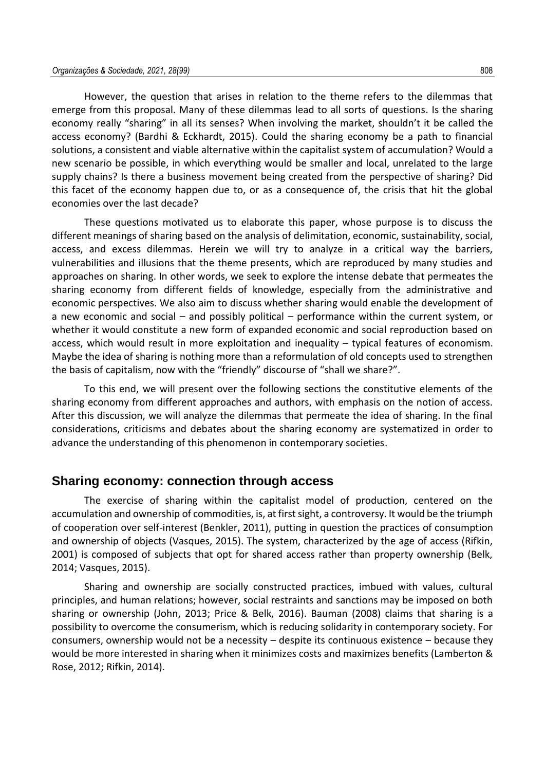However, the question that arises in relation to the theme refers to the dilemmas that emerge from this proposal. Many of these dilemmas lead to all sorts of questions. Is the sharing economy really "sharing" in all its senses? When involving the market, shouldn't it be called the access economy? (Bardhi & Eckhardt, 2015). Could the sharing economy be a path to financial solutions, a consistent and viable alternative within the capitalist system of accumulation? Would a new scenario be possible, in which everything would be smaller and local, unrelated to the large supply chains? Is there a business movement being created from the perspective of sharing? Did this facet of the economy happen due to, or as a consequence of, the crisis that hit the global economies over the last decade?

These questions motivated us to elaborate this paper, whose purpose is to discuss the different meanings of sharing based on the analysis of delimitation, economic, sustainability, social, access, and excess dilemmas. Herein we will try to analyze in a critical way the barriers, vulnerabilities and illusions that the theme presents, which are reproduced by many studies and approaches on sharing. In other words, we seek to explore the intense debate that permeates the sharing economy from different fields of knowledge, especially from the administrative and economic perspectives. We also aim to discuss whether sharing would enable the development of a new economic and social – and possibly political – performance within the current system, or whether it would constitute a new form of expanded economic and social reproduction based on access, which would result in more exploitation and inequality – typical features of economism. Maybe the idea of sharing is nothing more than a reformulation of old concepts used to strengthen the basis of capitalism, now with the "friendly" discourse of "shall we share?".

To this end, we will present over the following sections the constitutive elements of the sharing economy from different approaches and authors, with emphasis on the notion of access. After this discussion, we will analyze the dilemmas that permeate the idea of sharing. In the final considerations, criticisms and debates about the sharing economy are systematized in order to advance the understanding of this phenomenon in contemporary societies.

#### **Sharing economy: connection through access**

The exercise of sharing within the capitalist model of production, centered on the accumulation and ownership of commodities, is, at first sight, a controversy. It would be the triumph of cooperation over self-interest (Benkler, 2011), putting in question the practices of consumption and ownership of objects (Vasques, 2015). The system, characterized by the age of access (Rifkin, 2001) is composed of subjects that opt for shared access rather than property ownership (Belk, 2014; Vasques, 2015).

Sharing and ownership are socially constructed practices, imbued with values, cultural principles, and human relations; however, social restraints and sanctions may be imposed on both sharing or ownership (John, 2013; Price & Belk, 2016). Bauman (2008) claims that sharing is a possibility to overcome the consumerism, which is reducing solidarity in contemporary society. For consumers, ownership would not be a necessity – despite its continuous existence – because they would be more interested in sharing when it minimizes costs and maximizes benefits (Lamberton & Rose, 2012; Rifkin, 2014).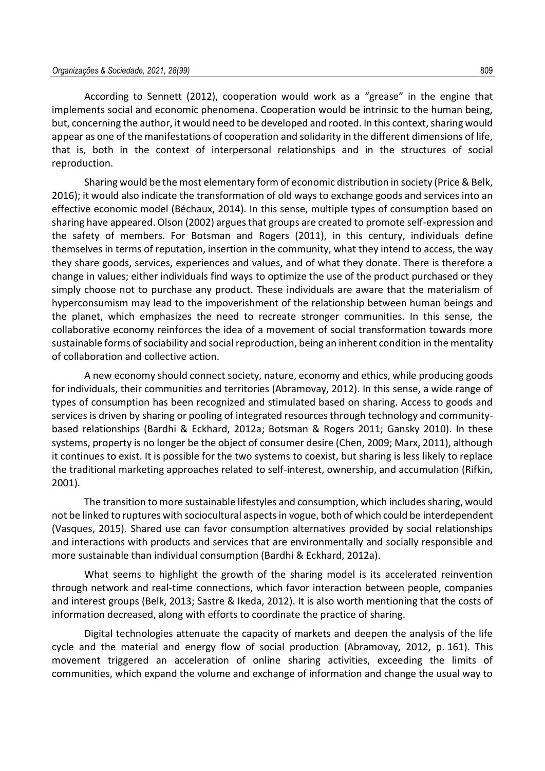According to Sennett (2012), cooperation would work as a "grease" in the engine that implements social and economic phenomena. Cooperation would be intrinsic to the human being, but, concerning the author, it would need to be developed and rooted. In this context, sharing would appear as one of the manifestations of cooperation and solidarity in the different dimensions of life, that is, both in the context of interpersonal relationships and in the structures of social reproduction.

Sharing would be the most elementary form of economic distribution in society (Price & Belk, 2016); it would also indicate the transformation of old ways to exchange goods and services into an effective economic model (Béchaux, 2014). In this sense, multiple types of consumption based on sharing have appeared. Olson (2002) argues that groups are created to promote self-expression and the safety of members. For Botsman and Rogers (2011), in this century, individuals define themselves in terms of reputation, insertion in the community, what they intend to access, the way they share goods, services, experiences and values, and of what they donate. There is therefore a change in values; either individuals find ways to optimize the use of the product purchased or they simply choose not to purchase any product. These individuals are aware that the materialism of hyperconsumism may lead to the impoverishment of the relationship between human beings and the planet, which emphasizes the need to recreate stronger communities. In this sense, the collaborative economy reinforces the idea of a movement of social transformation towards more sustainable forms of sociability and social reproduction, being an inherent condition in the mentality of collaboration and collective action.

A new economy should connect society, nature, economy and ethics, while producing goods for individuals, their communities and territories (Abramovay, 2012). In this sense, a wide range of types of consumption has been recognized and stimulated based on sharing. Access to goods and services is driven by sharing or pooling of integrated resources through technology and communitybased relationships (Bardhi & Eckhard, 2012a; Botsman & Rogers 2011; Gansky 2010). In these systems, property is no longer be the object of consumer desire (Chen, 2009; Marx, 2011), although it continues to exist. It is possible for the two systems to coexist, but sharing is less likely to replace the traditional marketing approaches related to self-interest, ownership, and accumulation (Rifkin, 2001).

The transition to more sustainable lifestyles and consumption, which includes sharing, would not be linked to ruptures with sociocultural aspects in vogue, both of which could be interdependent (Vasques, 2015). Shared use can favor consumption alternatives provided by social relationships and interactions with products and services that are environmentally and socially responsible and more sustainable than individual consumption (Bardhi & Eckhard, 2012a).

What seems to highlight the growth of the sharing model is its accelerated reinvention through network and real-time connections, which favor interaction between people, companies and interest groups (Belk, 2013; Sastre & Ikeda, 2012). It is also worth mentioning that the costs of information decreased, along with efforts to coordinate the practice of sharing.

Digital technologies attenuate the capacity of markets and deepen the analysis of the life cycle and the material and energy flow of social production (Abramovay, 2012, p. 161). This movement triggered an acceleration of online sharing activities, exceeding the limits of communities, which expand the volume and exchange of information and change the usual way to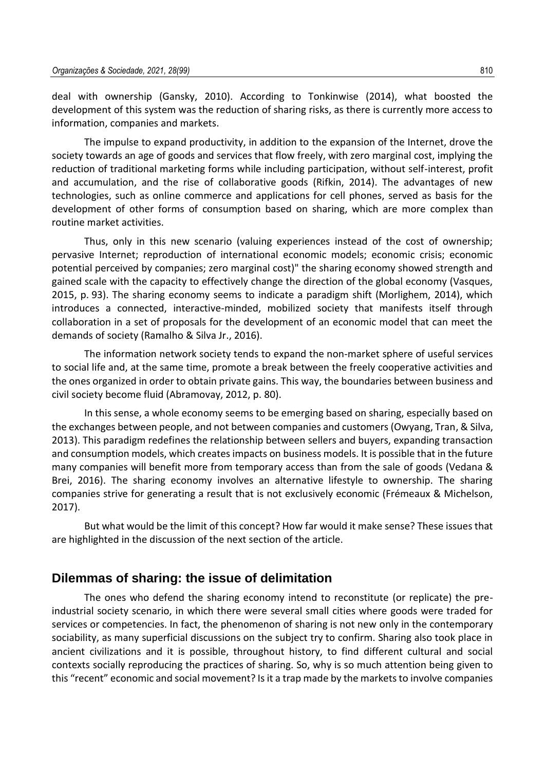deal with ownership (Gansky, 2010). According to Tonkinwise (2014), what boosted the development of this system was the reduction of sharing risks, as there is currently more access to information, companies and markets.

The impulse to expand productivity, in addition to the expansion of the Internet, drove the society towards an age of goods and services that flow freely, with zero marginal cost, implying the reduction of traditional marketing forms while including participation, without self-interest, profit and accumulation, and the rise of collaborative goods (Rifkin, 2014). The advantages of new technologies, such as online commerce and applications for cell phones, served as basis for the development of other forms of consumption based on sharing, which are more complex than routine market activities.

Thus, only in this new scenario (valuing experiences instead of the cost of ownership; pervasive Internet; reproduction of international economic models; economic crisis; economic potential perceived by companies; zero marginal cost)" the sharing economy showed strength and gained scale with the capacity to effectively change the direction of the global economy (Vasques, 2015, p. 93). The sharing economy seems to indicate a paradigm shift (Morlighem, 2014), which introduces a connected, interactive-minded, mobilized society that manifests itself through collaboration in a set of proposals for the development of an economic model that can meet the demands of society (Ramalho & Silva Jr., 2016).

The information network society tends to expand the non-market sphere of useful services to social life and, at the same time, promote a break between the freely cooperative activities and the ones organized in order to obtain private gains. This way, the boundaries between business and civil society become fluid (Abramovay, 2012, p. 80).

In this sense, a whole economy seems to be emerging based on sharing, especially based on the exchanges between people, and not between companies and customers (Owyang, Tran, & Silva, 2013). This paradigm redefines the relationship between sellers and buyers, expanding transaction and consumption models, which creates impacts on business models. It is possible that in the future many companies will benefit more from temporary access than from the sale of goods (Vedana & Brei, 2016). The sharing economy involves an alternative lifestyle to ownership. The sharing companies strive for generating a result that is not exclusively economic (Frémeaux & Michelson, 2017).

But what would be the limit of this concept? How far would it make sense? These issues that are highlighted in the discussion of the next section of the article.

#### **Dilemmas of sharing: the issue of delimitation**

The ones who defend the sharing economy intend to reconstitute (or replicate) the preindustrial society scenario, in which there were several small cities where goods were traded for services or competencies. In fact, the phenomenon of sharing is not new only in the contemporary sociability, as many superficial discussions on the subject try to confirm. Sharing also took place in ancient civilizations and it is possible, throughout history, to find different cultural and social contexts socially reproducing the practices of sharing. So, why is so much attention being given to this "recent" economic and social movement? Is it a trap made by the markets to involve companies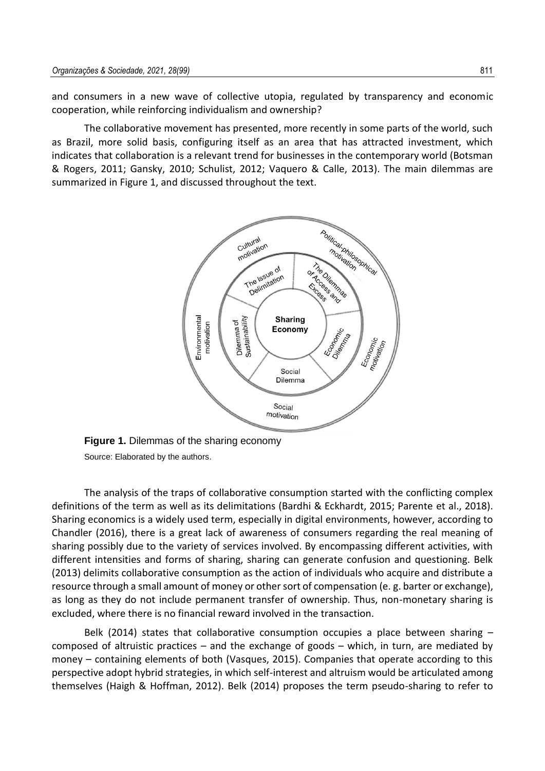and consumers in a new wave of collective utopia, regulated by transparency and economic cooperation, while reinforcing individualism and ownership?

The collaborative movement has presented, more recently in some parts of the world, such as Brazil, more solid basis, configuring itself as an area that has attracted investment, which indicates that collaboration is a relevant trend for businesses in the contemporary world (Botsman & Rogers, 2011; Gansky, 2010; Schulist, 2012; Vaquero & Calle, 2013). The main dilemmas are summarized in Figure 1, and discussed throughout the text.



**Figure 1.** Dilemmas of the sharing economy Source: Elaborated by the authors.

The analysis of the traps of collaborative consumption started with the conflicting complex definitions of the term as well as its delimitations (Bardhi & Eckhardt, 2015; Parente et al., 2018). Sharing economics is a widely used term, especially in digital environments, however, according to Chandler (2016), there is a great lack of awareness of consumers regarding the real meaning of sharing possibly due to the variety of services involved. By encompassing different activities, with different intensities and forms of sharing, sharing can generate confusion and questioning. Belk (2013) delimits collaborative consumption as the action of individuals who acquire and distribute a resource through a small amount of money or other sort of compensation (e. g. barter or exchange), as long as they do not include permanent transfer of ownership. Thus, non-monetary sharing is excluded, where there is no financial reward involved in the transaction.

Belk (2014) states that collaborative consumption occupies a place between sharing – composed of altruistic practices – and the exchange of goods – which, in turn, are mediated by money – containing elements of both (Vasques, 2015). Companies that operate according to this perspective adopt hybrid strategies, in which self-interest and altruism would be articulated among themselves (Haigh & Hoffman, 2012). Belk (2014) proposes the term pseudo-sharing to refer to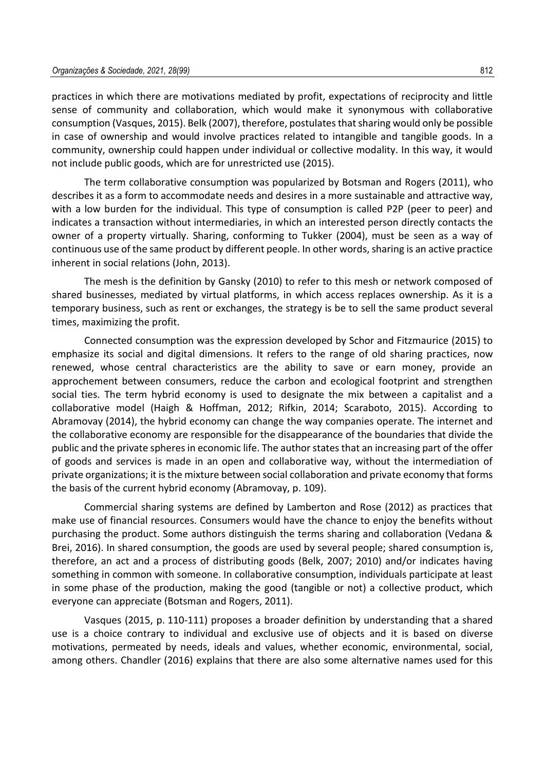practices in which there are motivations mediated by profit, expectations of reciprocity and little sense of community and collaboration, which would make it synonymous with collaborative consumption (Vasques, 2015). Belk (2007), therefore, postulates that sharing would only be possible in case of ownership and would involve practices related to intangible and tangible goods. In a community, ownership could happen under individual or collective modality. In this way, it would not include public goods, which are for unrestricted use (2015).

The term collaborative consumption was popularized by Botsman and Rogers (2011), who describes it as a form to accommodate needs and desires in a more sustainable and attractive way, with a low burden for the individual. This type of consumption is called P2P (peer to peer) and indicates a transaction without intermediaries, in which an interested person directly contacts the owner of a property virtually. Sharing, conforming to Tukker (2004), must be seen as a way of continuous use of the same product by different people. In other words, sharing is an active practice inherent in social relations (John, 2013).

The mesh is the definition by Gansky (2010) to refer to this mesh or network composed of shared businesses, mediated by virtual platforms, in which access replaces ownership. As it is a temporary business, such as rent or exchanges, the strategy is be to sell the same product several times, maximizing the profit.

Connected consumption was the expression developed by Schor and Fitzmaurice (2015) to emphasize its social and digital dimensions. It refers to the range of old sharing practices, now renewed, whose central characteristics are the ability to save or earn money, provide an approchement between consumers, reduce the carbon and ecological footprint and strengthen social ties. The term hybrid economy is used to designate the mix between a capitalist and a collaborative model (Haigh & Hoffman, 2012; Rifkin, 2014; Scaraboto, 2015). According to Abramovay (2014), the hybrid economy can change the way companies operate. The internet and the collaborative economy are responsible for the disappearance of the boundaries that divide the public and the private spheres in economic life. The author states that an increasing part of the offer of goods and services is made in an open and collaborative way, without the intermediation of private organizations; it is the mixture between social collaboration and private economy that forms the basis of the current hybrid economy (Abramovay, p. 109).

Commercial sharing systems are defined by Lamberton and Rose (2012) as practices that make use of financial resources. Consumers would have the chance to enjoy the benefits without purchasing the product. Some authors distinguish the terms sharing and collaboration (Vedana & Brei, 2016). In shared consumption, the goods are used by several people; shared consumption is, therefore, an act and a process of distributing goods (Belk, 2007; 2010) and/or indicates having something in common with someone. In collaborative consumption, individuals participate at least in some phase of the production, making the good (tangible or not) a collective product, which everyone can appreciate (Botsman and Rogers, 2011).

Vasques (2015, p. 110-111) proposes a broader definition by understanding that a shared use is a choice contrary to individual and exclusive use of objects and it is based on diverse motivations, permeated by needs, ideals and values, whether economic, environmental, social, among others. Chandler (2016) explains that there are also some alternative names used for this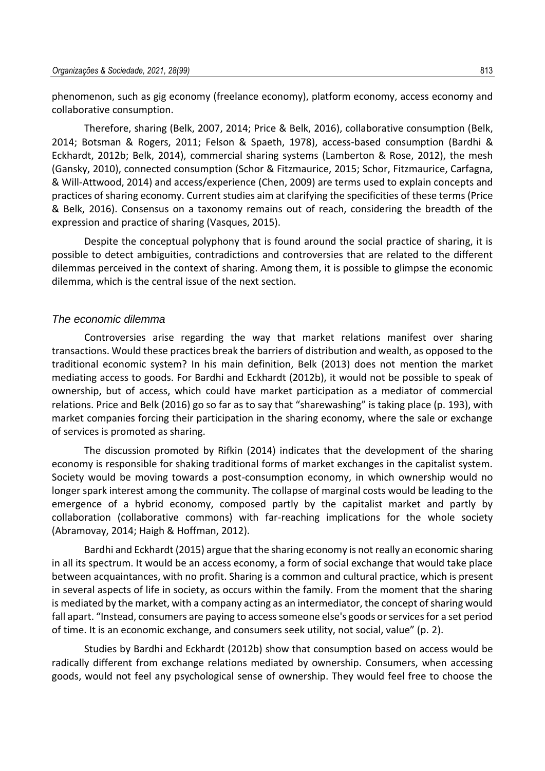phenomenon, such as gig economy (freelance economy), platform economy, access economy and collaborative consumption.

Therefore, sharing (Belk, 2007, 2014; Price & Belk, 2016), collaborative consumption (Belk, 2014; Botsman & Rogers, 2011; Felson & Spaeth, 1978), access-based consumption (Bardhi & Eckhardt, 2012b; Belk, 2014), commercial sharing systems (Lamberton & Rose, 2012), the mesh (Gansky, 2010), connected consumption (Schor & Fitzmaurice, 2015; Schor, Fitzmaurice, Carfagna, & Will-Attwood, 2014) and access/experience (Chen, 2009) are terms used to explain concepts and practices of sharing economy. Current studies aim at clarifying the specificities of these terms (Price & Belk, 2016). Consensus on a taxonomy remains out of reach, considering the breadth of the expression and practice of sharing (Vasques, 2015).

Despite the conceptual polyphony that is found around the social practice of sharing, it is possible to detect ambiguities, contradictions and controversies that are related to the different dilemmas perceived in the context of sharing. Among them, it is possible to glimpse the economic dilemma, which is the central issue of the next section.

#### *The economic dilemma*

Controversies arise regarding the way that market relations manifest over sharing transactions. Would these practices break the barriers of distribution and wealth, as opposed to the traditional economic system? In his main definition, Belk (2013) does not mention the market mediating access to goods. For Bardhi and Eckhardt (2012b), it would not be possible to speak of ownership, but of access, which could have market participation as a mediator of commercial relations. Price and Belk (2016) go so far as to say that "sharewashing" is taking place (p. 193), with market companies forcing their participation in the sharing economy, where the sale or exchange of services is promoted as sharing.

The discussion promoted by Rifkin (2014) indicates that the development of the sharing economy is responsible for shaking traditional forms of market exchanges in the capitalist system. Society would be moving towards a post-consumption economy, in which ownership would no longer spark interest among the community. The collapse of marginal costs would be leading to the emergence of a hybrid economy, composed partly by the capitalist market and partly by collaboration (collaborative commons) with far-reaching implications for the whole society (Abramovay, 2014; Haigh & Hoffman, 2012).

Bardhi and Eckhardt (2015) argue that the sharing economy is not really an economic sharing in all its spectrum. It would be an access economy, a form of social exchange that would take place between acquaintances, with no profit. Sharing is a common and cultural practice, which is present in several aspects of life in society, as occurs within the family. From the moment that the sharing is mediated by the market, with a company acting as an intermediator, the concept of sharing would fall apart. "Instead, consumers are paying to access someone else's goods or services for a set period of time. It is an economic exchange, and consumers seek utility, not social, value" (p. 2).

Studies by Bardhi and Eckhardt (2012b) show that consumption based on access would be radically different from exchange relations mediated by ownership. Consumers, when accessing goods, would not feel any psychological sense of ownership. They would feel free to choose the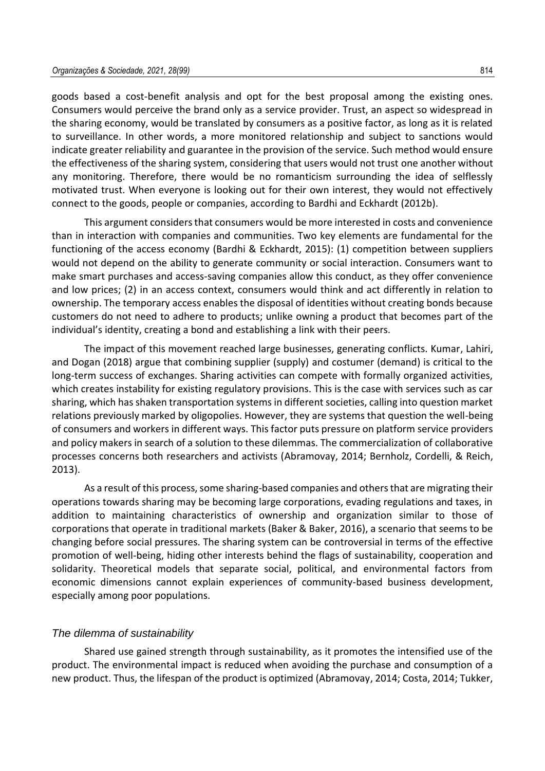goods based a cost-benefit analysis and opt for the best proposal among the existing ones. Consumers would perceive the brand only as a service provider. Trust, an aspect so widespread in the sharing economy, would be translated by consumers as a positive factor, as long as it is related to surveillance. In other words, a more monitored relationship and subject to sanctions would indicate greater reliability and guarantee in the provision of the service. Such method would ensure the effectiveness of the sharing system, considering that users would not trust one another without any monitoring. Therefore, there would be no romanticism surrounding the idea of selflessly motivated trust. When everyone is looking out for their own interest, they would not effectively connect to the goods, people or companies, according to Bardhi and Eckhardt (2012b).

This argument considers that consumers would be more interested in costs and convenience than in interaction with companies and communities. Two key elements are fundamental for the functioning of the access economy (Bardhi & Eckhardt, 2015): (1) competition between suppliers would not depend on the ability to generate community or social interaction. Consumers want to make smart purchases and access-saving companies allow this conduct, as they offer convenience and low prices; (2) in an access context, consumers would think and act differently in relation to ownership. The temporary access enables the disposal of identities without creating bonds because customers do not need to adhere to products; unlike owning a product that becomes part of the individual's identity, creating a bond and establishing a link with their peers.

The impact of this movement reached large businesses, generating conflicts. Kumar, Lahiri, and Dogan (2018) argue that combining supplier (supply) and costumer (demand) is critical to the long-term success of exchanges. Sharing activities can compete with formally organized activities, which creates instability for existing regulatory provisions. This is the case with services such as car sharing, which has shaken transportation systems in different societies, calling into question market relations previously marked by oligopolies. However, they are systems that question the well-being of consumers and workers in different ways. This factor puts pressure on platform service providers and policy makers in search of a solution to these dilemmas. The commercialization of collaborative processes concerns both researchers and activists (Abramovay, 2014; Bernholz, Cordelli, & Reich, 2013).

As a result of this process, some sharing-based companies and others that are migrating their operations towards sharing may be becoming large corporations, evading regulations and taxes, in addition to maintaining characteristics of ownership and organization similar to those of corporations that operate in traditional markets (Baker & Baker, 2016), a scenario that seems to be changing before social pressures. The sharing system can be controversial in terms of the effective promotion of well-being, hiding other interests behind the flags of sustainability, cooperation and solidarity. Theoretical models that separate social, political, and environmental factors from economic dimensions cannot explain experiences of community-based business development, especially among poor populations.

#### *The dilemma of sustainability*

Shared use gained strength through sustainability, as it promotes the intensified use of the product. The environmental impact is reduced when avoiding the purchase and consumption of a new product. Thus, the lifespan of the product is optimized (Abramovay, 2014; Costa, 2014; Tukker,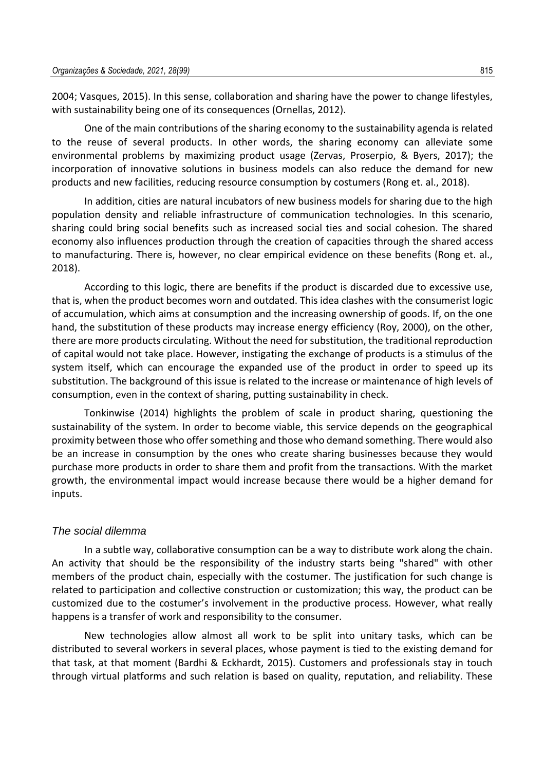2004; Vasques, 2015). In this sense, collaboration and sharing have the power to change lifestyles, with sustainability being one of its consequences (Ornellas, 2012).

One of the main contributions of the sharing economy to the sustainability agenda is related to the reuse of several products. In other words, the sharing economy can alleviate some environmental problems by maximizing product usage (Zervas, Proserpio, & Byers, 2017); the incorporation of innovative solutions in business models can also reduce the demand for new products and new facilities, reducing resource consumption by costumers (Rong et. al., 2018).

In addition, cities are natural incubators of new business models for sharing due to the high population density and reliable infrastructure of communication technologies. In this scenario, sharing could bring social benefits such as increased social ties and social cohesion. The shared economy also influences production through the creation of capacities through the shared access to manufacturing. There is, however, no clear empirical evidence on these benefits (Rong et. al., 2018).

According to this logic, there are benefits if the product is discarded due to excessive use, that is, when the product becomes worn and outdated. This idea clashes with the consumerist logic of accumulation, which aims at consumption and the increasing ownership of goods. If, on the one hand, the substitution of these products may increase energy efficiency (Roy, 2000), on the other, there are more products circulating. Without the need for substitution, the traditional reproduction of capital would not take place. However, instigating the exchange of products is a stimulus of the system itself, which can encourage the expanded use of the product in order to speed up its substitution. The background of this issue is related to the increase or maintenance of high levels of consumption, even in the context of sharing, putting sustainability in check.

Tonkinwise (2014) highlights the problem of scale in product sharing, questioning the sustainability of the system. In order to become viable, this service depends on the geographical proximity between those who offer something and those who demand something. There would also be an increase in consumption by the ones who create sharing businesses because they would purchase more products in order to share them and profit from the transactions. With the market growth, the environmental impact would increase because there would be a higher demand for inputs.

#### *The social dilemma*

In a subtle way, collaborative consumption can be a way to distribute work along the chain. An activity that should be the responsibility of the industry starts being "shared" with other members of the product chain, especially with the costumer. The justification for such change is related to participation and collective construction or customization; this way, the product can be customized due to the costumer's involvement in the productive process. However, what really happens is a transfer of work and responsibility to the consumer.

New technologies allow almost all work to be split into unitary tasks, which can be distributed to several workers in several places, whose payment is tied to the existing demand for that task, at that moment (Bardhi & Eckhardt, 2015). Customers and professionals stay in touch through virtual platforms and such relation is based on quality, reputation, and reliability. These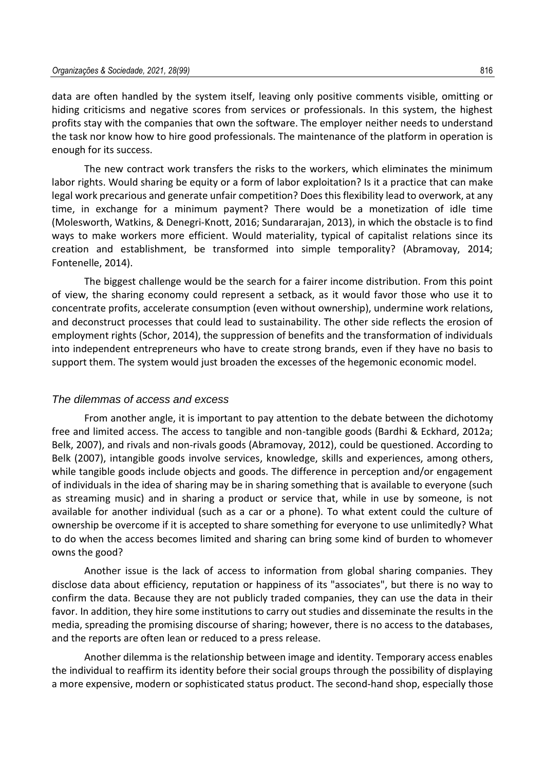data are often handled by the system itself, leaving only positive comments visible, omitting or hiding criticisms and negative scores from services or professionals. In this system, the highest profits stay with the companies that own the software. The employer neither needs to understand the task nor know how to hire good professionals. The maintenance of the platform in operation is enough for its success.

The new contract work transfers the risks to the workers, which eliminates the minimum labor rights. Would sharing be equity or a form of labor exploitation? Is it a practice that can make legal work precarious and generate unfair competition? Does this flexibility lead to overwork, at any time, in exchange for a minimum payment? There would be a monetization of idle time (Molesworth, Watkins, & Denegri-Knott, 2016; Sundararajan, 2013), in which the obstacle is to find ways to make workers more efficient. Would materiality, typical of capitalist relations since its creation and establishment, be transformed into simple temporality? (Abramovay, 2014; Fontenelle, 2014).

The biggest challenge would be the search for a fairer income distribution. From this point of view, the sharing economy could represent a setback, as it would favor those who use it to concentrate profits, accelerate consumption (even without ownership), undermine work relations, and deconstruct processes that could lead to sustainability. The other side reflects the erosion of employment rights (Schor, 2014), the suppression of benefits and the transformation of individuals into independent entrepreneurs who have to create strong brands, even if they have no basis to support them. The system would just broaden the excesses of the hegemonic economic model.

#### *The dilemmas of access and excess*

From another angle, it is important to pay attention to the debate between the dichotomy free and limited access. The access to tangible and non-tangible goods (Bardhi & Eckhard, 2012a; Belk, 2007), and rivals and non-rivals goods (Abramovay, 2012), could be questioned. According to Belk (2007), intangible goods involve services, knowledge, skills and experiences, among others, while tangible goods include objects and goods. The difference in perception and/or engagement of individuals in the idea of sharing may be in sharing something that is available to everyone (such as streaming music) and in sharing a product or service that, while in use by someone, is not available for another individual (such as a car or a phone). To what extent could the culture of ownership be overcome if it is accepted to share something for everyone to use unlimitedly? What to do when the access becomes limited and sharing can bring some kind of burden to whomever owns the good?

Another issue is the lack of access to information from global sharing companies. They disclose data about efficiency, reputation or happiness of its "associates", but there is no way to confirm the data. Because they are not publicly traded companies, they can use the data in their favor. In addition, they hire some institutions to carry out studies and disseminate the results in the media, spreading the promising discourse of sharing; however, there is no access to the databases, and the reports are often lean or reduced to a press release.

Another dilemma is the relationship between image and identity. Temporary access enables the individual to reaffirm its identity before their social groups through the possibility of displaying a more expensive, modern or sophisticated status product. The second-hand shop, especially those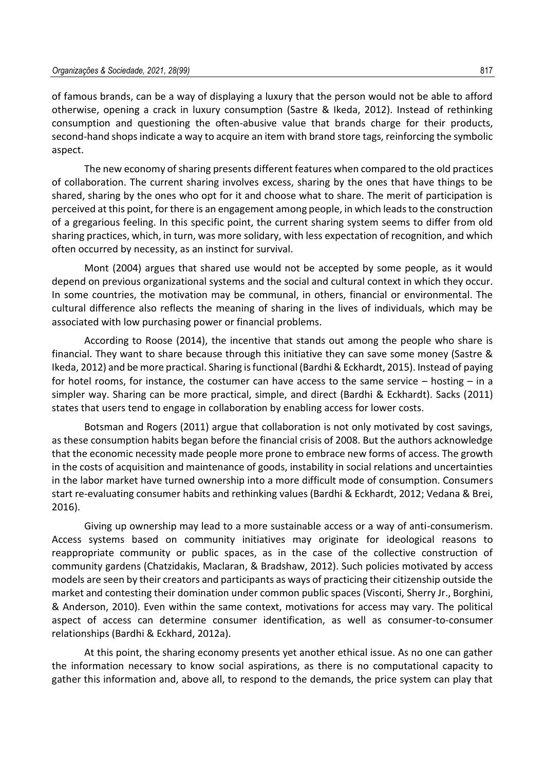of famous brands, can be a way of displaying a luxury that the person would not be able to afford otherwise, opening a crack in luxury consumption (Sastre & Ikeda, 2012). Instead of rethinking consumption and questioning the often-abusive value that brands charge for their products, second-hand shops indicate a way to acquire an item with brand store tags, reinforcing the symbolic aspect.

The new economy of sharing presents different features when compared to the old practices of collaboration. The current sharing involves excess, sharing by the ones that have things to be shared, sharing by the ones who opt for it and choose what to share. The merit of participation is perceived at this point, for there is an engagement among people, in which leads to the construction of a gregarious feeling. In this specific point, the current sharing system seems to differ from old sharing practices, which, in turn, was more solidary, with less expectation of recognition, and which often occurred by necessity, as an instinct for survival.

Mont (2004) argues that shared use would not be accepted by some people, as it would depend on previous organizational systems and the social and cultural context in which they occur. In some countries, the motivation may be communal, in others, financial or environmental. The cultural difference also reflects the meaning of sharing in the lives of individuals, which may be associated with low purchasing power or financial problems.

According to Roose (2014), the incentive that stands out among the people who share is financial. They want to share because through this initiative they can save some money (Sastre & Ikeda, 2012) and be more practical. Sharing is functional (Bardhi & Eckhardt, 2015). Instead of paying for hotel rooms, for instance, the costumer can have access to the same service – hosting – in a simpler way. Sharing can be more practical, simple, and direct (Bardhi & Eckhardt). Sacks (2011) states that users tend to engage in collaboration by enabling access for lower costs.

Botsman and Rogers (2011) argue that collaboration is not only motivated by cost savings, as these consumption habits began before the financial crisis of 2008. But the authors acknowledge that the economic necessity made people more prone to embrace new forms of access. The growth in the costs of acquisition and maintenance of goods, instability in social relations and uncertainties in the labor market have turned ownership into a more difficult mode of consumption. Consumers start re-evaluating consumer habits and rethinking values (Bardhi & Eckhardt, 2012; Vedana & Brei, 2016).

Giving up ownership may lead to a more sustainable access or a way of anti-consumerism. Access systems based on community initiatives may originate for ideological reasons to reappropriate community or public spaces, as in the case of the collective construction of community gardens (Chatzidakis, Maclaran, & Bradshaw, 2012). Such policies motivated by access models are seen by their creators and participants as ways of practicing their citizenship outside the market and contesting their domination under common public spaces (Visconti, Sherry Jr., Borghini, & Anderson, 2010). Even within the same context, motivations for access may vary. The political aspect of access can determine consumer identification, as well as consumer-to-consumer relationships (Bardhi & Eckhard, 2012a).

At this point, the sharing economy presents yet another ethical issue. As no one can gather the information necessary to know social aspirations, as there is no computational capacity to gather this information and, above all, to respond to the demands, the price system can play that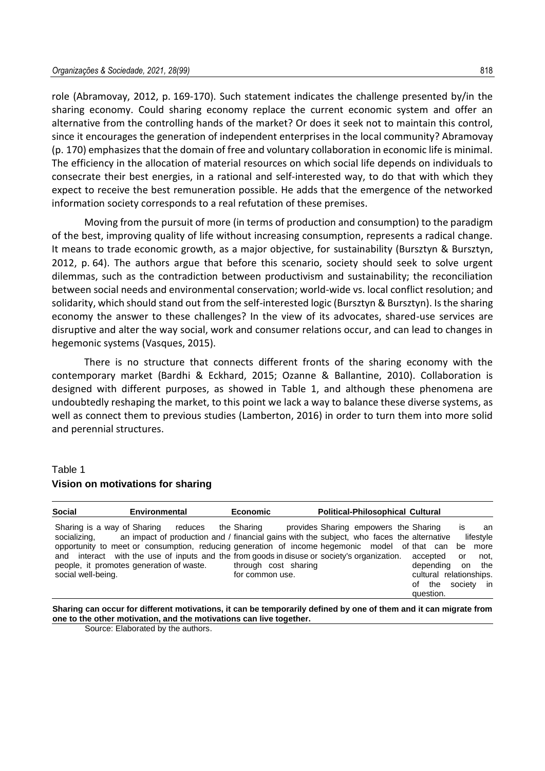role (Abramovay, 2012, p. 169-170). Such statement indicates the challenge presented by/in the sharing economy. Could sharing economy replace the current economic system and offer an alternative from the controlling hands of the market? Or does it seek not to maintain this control, since it encourages the generation of independent enterprises in the local community? Abramovay (p. 170) emphasizes that the domain of free and voluntary collaboration in economic life is minimal. The efficiency in the allocation of material resources on which social life depends on individuals to consecrate their best energies, in a rational and self-interested way, to do that with which they expect to receive the best remuneration possible. He adds that the emergence of the networked information society corresponds to a real refutation of these premises.

Moving from the pursuit of more (in terms of production and consumption) to the paradigm of the best, improving quality of life without increasing consumption, represents a radical change. It means to trade economic growth, as a major objective, for sustainability (Bursztyn & Bursztyn, 2012, p. 64). The authors argue that before this scenario, society should seek to solve urgent dilemmas, such as the contradiction between productivism and sustainability; the reconciliation between social needs and environmental conservation; world-wide vs. local conflict resolution; and solidarity, which should stand out from the self-interested logic (Bursztyn & Bursztyn). Is the sharing economy the answer to these challenges? In the view of its advocates, shared-use services are disruptive and alter the way social, work and consumer relations occur, and can lead to changes in hegemonic systems (Vasques, 2015).

There is no structure that connects different fronts of the sharing economy with the contemporary market (Bardhi & Eckhard, 2015; Ozanne & Ballantine, 2010). Collaboration is designed with different purposes, as showed in Table 1, and although these phenomena are undoubtedly reshaping the market, to this point we lack a way to balance these diverse systems, as well as connect them to previous studies (Lamberton, 2016) in order to turn them into more solid and perennial structures.

#### Table 1 **Vision on motivations for sharing**

| <b>Social</b>                                                     | Environmental                                                                                                                                                                                                                                                                                                                                    | <b>Economic</b>                                        | <b>Political-Philosophical Cultural</b> |                                                                                                                                                      |
|-------------------------------------------------------------------|--------------------------------------------------------------------------------------------------------------------------------------------------------------------------------------------------------------------------------------------------------------------------------------------------------------------------------------------------|--------------------------------------------------------|-----------------------------------------|------------------------------------------------------------------------------------------------------------------------------------------------------|
| Sharing is a way of Sharing<br>socializing.<br>social well-being. | reduces<br>an impact of production and / financial gains with the subject, who faces the alternative<br>opportunity to meet or consumption, reducing generation of income hegemonic model of that can<br>and interact with the use of inputs and the from goods in disuse or society's organization.<br>people, it promotes generation of waste. | the Sharing<br>through cost sharing<br>for common use. | provides Sharing empowers the Sharing   | IS<br>an<br>lifestyle<br>more<br>be<br>accepted<br>not.<br>or<br>on the<br>dependina<br>cultural relationships.<br>society in<br>of the<br>question. |

**Sharing can occur for different motivations, it can be temporarily defined by one of them and it can migrate from one to the other motivation, and the motivations can live together.**

Source: Elaborated by the authors.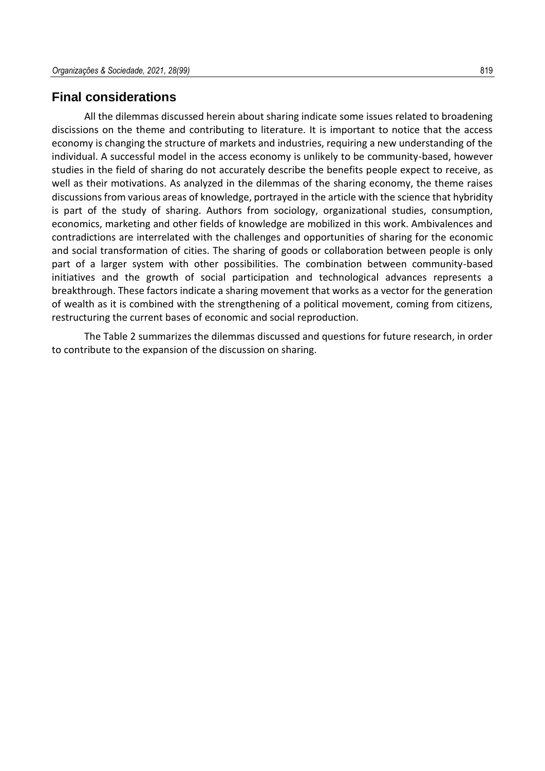### **Final considerations**

All the dilemmas discussed herein about sharing indicate some issues related to broadening discissions on the theme and contributing to literature. It is important to notice that the access economy is changing the structure of markets and industries, requiring a new understanding of the individual. A successful model in the access economy is unlikely to be community-based, however studies in the field of sharing do not accurately describe the benefits people expect to receive, as well as their motivations. As analyzed in the dilemmas of the sharing economy, the theme raises discussions from various areas of knowledge, portrayed in the article with the science that hybridity is part of the study of sharing. Authors from sociology, organizational studies, consumption, economics, marketing and other fields of knowledge are mobilized in this work. Ambivalences and contradictions are interrelated with the challenges and opportunities of sharing for the economic and social transformation of cities. The sharing of goods or collaboration between people is only part of a larger system with other possibilities. The combination between community-based initiatives and the growth of social participation and technological advances represents a breakthrough. These factors indicate a sharing movement that works as a vector for the generation of wealth as it is combined with the strengthening of a political movement, coming from citizens, restructuring the current bases of economic and social reproduction.

The Table 2 summarizes the dilemmas discussed and questions for future research, in order to contribute to the expansion of the discussion on sharing.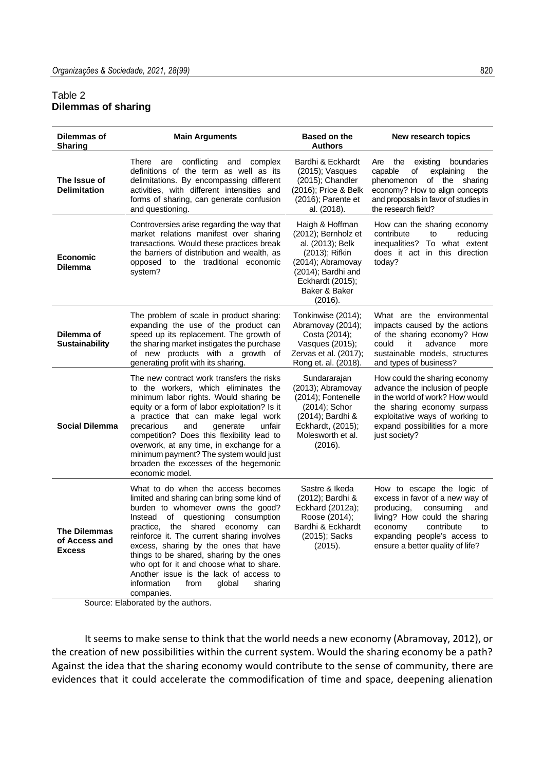#### Table 2 **Dilemmas of sharing**

| <b>Dilemmas of</b><br><b>Sharing</b>                  | <b>Main Arguments</b>                                                                                                                                                                                                                                                                                                                                                                                                                                                                       | <b>Based on the</b><br><b>Authors</b>                                                                                                                                   | New research topics                                                                                                                                                                                                                 |
|-------------------------------------------------------|---------------------------------------------------------------------------------------------------------------------------------------------------------------------------------------------------------------------------------------------------------------------------------------------------------------------------------------------------------------------------------------------------------------------------------------------------------------------------------------------|-------------------------------------------------------------------------------------------------------------------------------------------------------------------------|-------------------------------------------------------------------------------------------------------------------------------------------------------------------------------------------------------------------------------------|
| The Issue of<br><b>Delimitation</b>                   | conflicting<br>and complex<br>There<br>are<br>definitions of the term as well as its<br>delimitations. By encompassing different<br>activities, with different intensities and<br>forms of sharing, can generate confusion<br>and questioning.                                                                                                                                                                                                                                              | Bardhi & Eckhardt<br>(2015); Vasques<br>(2015); Chandler<br>(2016); Price & Belk<br>(2016); Parente et<br>al. (2018).                                                   | the<br>boundaries<br>Are<br>existing<br>capable<br>of<br>explaining<br>the<br>phenomenon<br>οf<br>the<br>sharing<br>economy? How to align concepts<br>and proposals in favor of studies in<br>the research field?                   |
| <b>Economic</b><br><b>Dilemma</b>                     | Controversies arise regarding the way that<br>market relations manifest over sharing<br>transactions. Would these practices break<br>the barriers of distribution and wealth, as<br>opposed to the traditional economic<br>system?                                                                                                                                                                                                                                                          | Haigh & Hoffman<br>(2012); Bernholz et<br>al. (2013); Belk<br>(2013); Rifkin<br>(2014); Abramovay<br>(2014); Bardhi and<br>Eckhardt (2015);<br>Baker & Baker<br>(2016). | How can the sharing economy<br>contribute<br>reducing<br>to<br>inequalities?<br>To what extent<br>does it act in this direction<br>today?                                                                                           |
| Dilemma of<br><b>Sustainability</b>                   | The problem of scale in product sharing:<br>expanding the use of the product can<br>speed up its replacement. The growth of<br>the sharing market instigates the purchase<br>of new products with a growth of<br>generating profit with its sharing.                                                                                                                                                                                                                                        | Tonkinwise (2014);<br>Abramovay (2014);<br>Costa (2014);<br>Vasques (2015);<br>Zervas et al. (2017);<br>Rong et. al. (2018).                                            | What are the environmental<br>impacts caused by the actions<br>of the sharing economy? How<br>could<br>it<br>advance<br>more<br>sustainable models, structures<br>and types of business?                                            |
| <b>Social Dilemma</b>                                 | The new contract work transfers the risks<br>to the workers, which eliminates the<br>minimum labor rights. Would sharing be<br>equity or a form of labor exploitation? Is it<br>a practice that can make legal work<br>precarious<br>generate<br>and<br>unfair<br>competition? Does this flexibility lead to<br>overwork, at any time, in exchange for a<br>minimum payment? The system would just<br>broaden the excesses of the hegemonic<br>economic model.                              | Sundararajan<br>(2013); Abramovay<br>(2014); Fontenelle<br>(2014); Schor<br>(2014); Bardhi &<br>Eckhardt, (2015);<br>Molesworth et al.<br>(2016).                       | How could the sharing economy<br>advance the inclusion of people<br>in the world of work? How would<br>the sharing economy surpass<br>exploitative ways of working to<br>expand possibilities for a more<br>just society?           |
| <b>The Dilemmas</b><br>of Access and<br><b>Excess</b> | What to do when the access becomes<br>limited and sharing can bring some kind of<br>burden to whomever owns the good?<br>consumption<br>Instead<br>of<br>questioning<br>practice, the shared economy can<br>reinforce it. The current sharing involves<br>excess, sharing by the ones that have<br>things to be shared, sharing by the ones<br>who opt for it and choose what to share.<br>Another issue is the lack of access to<br>information<br>from<br>global<br>sharing<br>companies. | Sastre & Ikeda<br>(2012); Bardhi &<br>Eckhard (2012a);<br>Roose (2014);<br>Bardhi & Eckhardt<br>(2015); Sacks<br>(2015).                                                | How to escape the logic of<br>excess in favor of a new way of<br>producing,<br>consuming<br>and<br>living? How could the sharing<br>economy<br>contribute<br>to<br>expanding people's access to<br>ensure a better quality of life? |

Source: Elaborated by the authors.

It seems to make sense to think that the world needs a new economy (Abramovay, 2012), or the creation of new possibilities within the current system. Would the sharing economy be a path? Against the idea that the sharing economy would contribute to the sense of community, there are evidences that it could accelerate the commodification of time and space, deepening alienation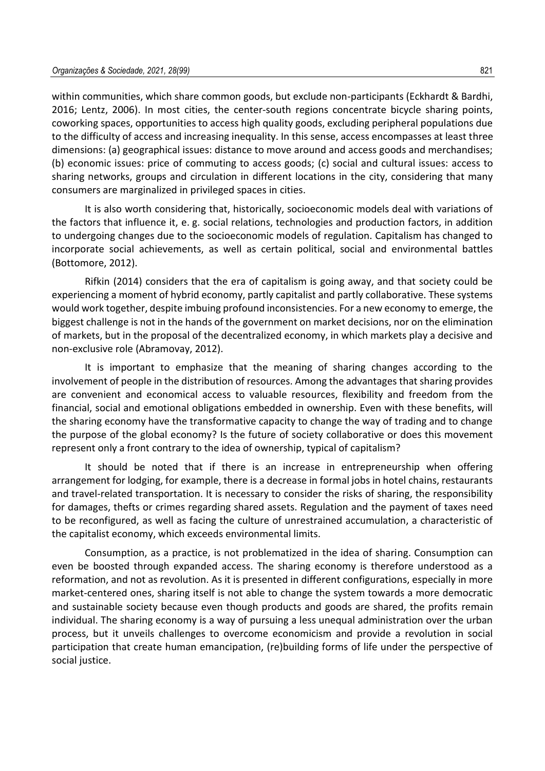within communities, which share common goods, but exclude non-participants (Eckhardt & Bardhi, 2016; Lentz, 2006). In most cities, the center-south regions concentrate bicycle sharing points, coworking spaces, opportunities to access high quality goods, excluding peripheral populations due to the difficulty of access and increasing inequality. In this sense, access encompasses at least three dimensions: (a) geographical issues: distance to move around and access goods and merchandises; (b) economic issues: price of commuting to access goods; (c) social and cultural issues: access to sharing networks, groups and circulation in different locations in the city, considering that many consumers are marginalized in privileged spaces in cities.

It is also worth considering that, historically, socioeconomic models deal with variations of the factors that influence it, e. g. social relations, technologies and production factors, in addition to undergoing changes due to the socioeconomic models of regulation. Capitalism has changed to incorporate social achievements, as well as certain political, social and environmental battles (Bottomore, 2012).

Rifkin (2014) considers that the era of capitalism is going away, and that society could be experiencing a moment of hybrid economy, partly capitalist and partly collaborative. These systems would work together, despite imbuing profound inconsistencies. For a new economy to emerge, the biggest challenge is not in the hands of the government on market decisions, nor on the elimination of markets, but in the proposal of the decentralized economy, in which markets play a decisive and non-exclusive role (Abramovay, 2012).

It is important to emphasize that the meaning of sharing changes according to the involvement of people in the distribution of resources. Among the advantages that sharing provides are convenient and economical access to valuable resources, flexibility and freedom from the financial, social and emotional obligations embedded in ownership. Even with these benefits, will the sharing economy have the transformative capacity to change the way of trading and to change the purpose of the global economy? Is the future of society collaborative or does this movement represent only a front contrary to the idea of ownership, typical of capitalism?

It should be noted that if there is an increase in entrepreneurship when offering arrangement for lodging, for example, there is a decrease in formal jobs in hotel chains, restaurants and travel-related transportation. It is necessary to consider the risks of sharing, the responsibility for damages, thefts or crimes regarding shared assets. Regulation and the payment of taxes need to be reconfigured, as well as facing the culture of unrestrained accumulation, a characteristic of the capitalist economy, which exceeds environmental limits.

Consumption, as a practice, is not problematized in the idea of sharing. Consumption can even be boosted through expanded access. The sharing economy is therefore understood as a reformation, and not as revolution. As it is presented in different configurations, especially in more market-centered ones, sharing itself is not able to change the system towards a more democratic and sustainable society because even though products and goods are shared, the profits remain individual. The sharing economy is a way of pursuing a less unequal administration over the urban process, but it unveils challenges to overcome economicism and provide a revolution in social participation that create human emancipation, (re)building forms of life under the perspective of social justice.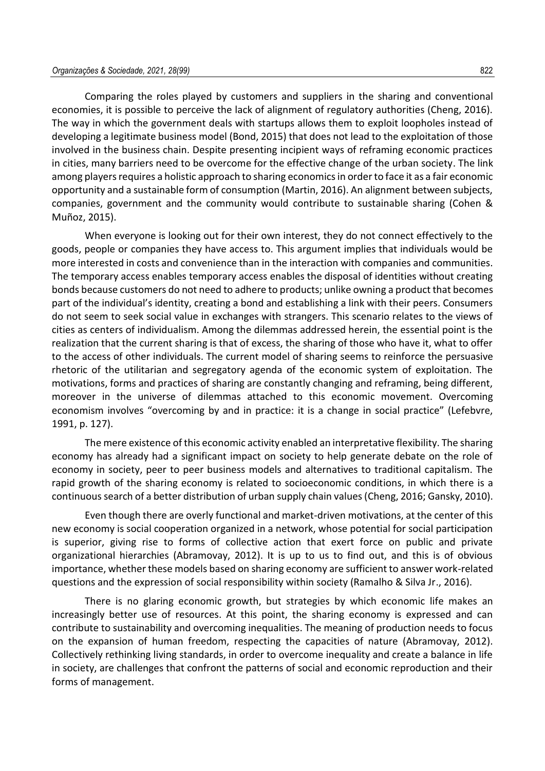Comparing the roles played by customers and suppliers in the sharing and conventional economies, it is possible to perceive the lack of alignment of regulatory authorities (Cheng, 2016). The way in which the government deals with startups allows them to exploit loopholes instead of developing a legitimate business model (Bond, 2015) that does not lead to the exploitation of those involved in the business chain. Despite presenting incipient ways of reframing economic practices in cities, many barriers need to be overcome for the effective change of the urban society. The link among players requires a holistic approach to sharing economics in order to face it as a fair economic opportunity and a sustainable form of consumption (Martin, 2016). An alignment between subjects, companies, government and the community would contribute to sustainable sharing (Cohen & Muñoz, 2015).

When everyone is looking out for their own interest, they do not connect effectively to the goods, people or companies they have access to. This argument implies that individuals would be more interested in costs and convenience than in the interaction with companies and communities. The temporary access enables temporary access enables the disposal of identities without creating bonds because customers do not need to adhere to products; unlike owning a product that becomes part of the individual's identity, creating a bond and establishing a link with their peers. Consumers do not seem to seek social value in exchanges with strangers. This scenario relates to the views of cities as centers of individualism. Among the dilemmas addressed herein, the essential point is the realization that the current sharing is that of excess, the sharing of those who have it, what to offer to the access of other individuals. The current model of sharing seems to reinforce the persuasive rhetoric of the utilitarian and segregatory agenda of the economic system of exploitation. The motivations, forms and practices of sharing are constantly changing and reframing, being different, moreover in the universe of dilemmas attached to this economic movement. Overcoming economism involves "overcoming by and in practice: it is a change in social practice" (Lefebvre, 1991, p. 127).

The mere existence of this economic activity enabled an interpretative flexibility. The sharing economy has already had a significant impact on society to help generate debate on the role of economy in society, peer to peer business models and alternatives to traditional capitalism. The rapid growth of the sharing economy is related to socioeconomic conditions, in which there is a continuoussearch of a better distribution of urban supply chain values (Cheng, 2016; Gansky, 2010).

Even though there are overly functional and market-driven motivations, at the center of this new economy is social cooperation organized in a network, whose potential for social participation is superior, giving rise to forms of collective action that exert force on public and private organizational hierarchies (Abramovay, 2012). It is up to us to find out, and this is of obvious importance, whether these models based on sharing economy are sufficient to answer work-related questions and the expression of social responsibility within society (Ramalho & Silva Jr., 2016).

There is no glaring economic growth, but strategies by which economic life makes an increasingly better use of resources. At this point, the sharing economy is expressed and can contribute to sustainability and overcoming inequalities. The meaning of production needs to focus on the expansion of human freedom, respecting the capacities of nature (Abramovay, 2012). Collectively rethinking living standards, in order to overcome inequality and create a balance in life in society, are challenges that confront the patterns of social and economic reproduction and their forms of management.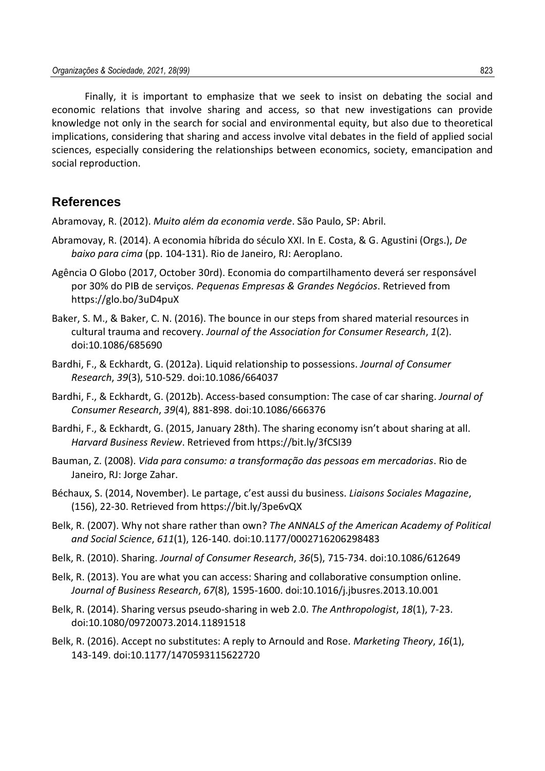Finally, it is important to emphasize that we seek to insist on debating the social and economic relations that involve sharing and access, so that new investigations can provide knowledge not only in the search for social and environmental equity, but also due to theoretical implications, considering that sharing and access involve vital debates in the field of applied social sciences, especially considering the relationships between economics, society, emancipation and social reproduction.

### **References**

Abramovay, R. (2012). *Muito além da economia verde*. São Paulo, SP: Abril.

- Abramovay, R. (2014). A economia híbrida do século XXI. In E. Costa, & G. Agustini (Orgs.), *De baixo para cima* (pp. 104-131). Rio de Janeiro, RJ: Aeroplano.
- Agência O Globo (2017, October 30rd). Economia do compartilhamento deverá ser responsável por 30% do PIB de serviços. *Pequenas Empresas & Grandes Negócios*. Retrieved from https://glo.bo/3uD4puX
- Baker, S. M., & Baker, C. N. (2016). The bounce in our steps from shared material resources in cultural trauma and recovery. *Journal of the Association for Consumer Research*, *1*(2). doi:10.1086/685690
- Bardhi, F., & Eckhardt, G. (2012a). Liquid relationship to possessions. *Journal of Consumer Research*, *39*(3), 510-529. doi:10.1086/664037
- Bardhi, F., & Eckhardt, G. (2012b). Access-based consumption: The case of car sharing. *Journal of Consumer Research*, *39*(4), 881-898. doi:10.1086/666376
- Bardhi, F., & Eckhardt, G. (2015, January 28th). The sharing economy isn't about sharing at all. *Harvard Business Review*. Retrieved from https://bit.ly/3fCSI39
- Bauman, Z. (2008). *Vida para consumo: a transformação das pessoas em mercadorias*. Rio de Janeiro, RJ: Jorge Zahar.
- Béchaux, S. (2014, November). Le partage, c'est aussi du business. *Liaisons Sociales Magazine*, (156), 22-30. Retrieved from https://bit.ly/3pe6vQX
- Belk, R. (2007). Why not share rather than own? *The ANNALS of the American Academy of Political and Social Science*, *611*(1), 126-140. doi:10.1177/0002716206298483
- Belk, R. (2010). Sharing. *Journal of Consumer Research*, *36*(5), 715-734. doi:10.1086/612649
- Belk, R. (2013). You are what you can access: Sharing and collaborative consumption online. *Journal of Business Research*, *67*(8), 1595-1600. doi:10.1016/j.jbusres.2013.10.001
- Belk, R. (2014). Sharing versus pseudo-sharing in web 2.0. *The Anthropologist*, *18*(1), 7-23. doi:10.1080/09720073.2014.11891518
- Belk, R. (2016). Accept no substitutes: A reply to Arnould and Rose. *Marketing Theory*, *16*(1), 143-149. doi:10.1177/1470593115622720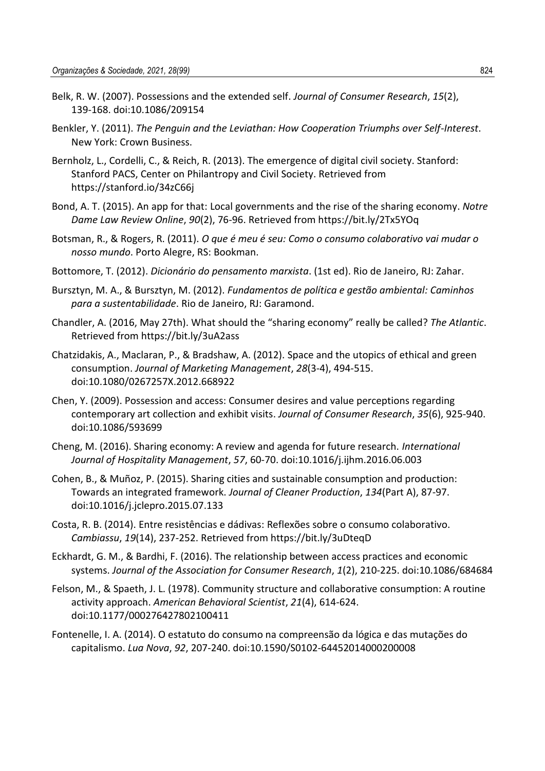- Belk, R. W. (2007). Possessions and the extended self. *Journal of Consumer Research*, *15*(2), 139-168. doi:10.1086/209154
- Benkler, Y. (2011). *The Penguin and the Leviathan: How Cooperation Triumphs over Self-Interest*. New York: Crown Business.
- Bernholz, L., Cordelli, C., & Reich, R. (2013). The emergence of digital civil society. Stanford: Stanford PACS, Center on Philantropy and Civil Society. Retrieved from https://stanford.io/34zC66j
- Bond, A. T. (2015). An app for that: Local governments and the rise of the sharing economy. *Notre Dame Law Review Online*, *90*(2), 76-96. Retrieved from https://bit.ly/2Tx5YOq
- Botsman, R., & Rogers, R. (2011). *O que é meu é seu: Como o consumo colaborativo vai mudar o nosso mundo*. Porto Alegre, RS: Bookman.
- Bottomore, T. (2012). *Dicionário do pensamento marxista*. (1st ed). Rio de Janeiro, RJ: Zahar.
- Bursztyn, M. A., & Bursztyn, M. (2012). *Fundamentos de política e gestão ambiental: Caminhos para a sustentabilidade*. Rio de Janeiro, RJ: Garamond.
- Chandler, A. (2016, May 27th). What should the "sharing economy" really be called? *The Atlantic*. Retrieved from https://bit.ly/3uA2ass
- Chatzidakis, A., Maclaran, P., & Bradshaw, A. (2012). Space and the utopics of ethical and green consumption. *Journal of Marketing Management*, *28*(3-4), 494-515. doi:10.1080/0267257X.2012.668922
- Chen, Y. (2009). Possession and access: Consumer desires and value perceptions regarding contemporary art collection and exhibit visits. *Journal of Consumer Research*, *35*(6), 925-940. doi:10.1086/593699
- Cheng, M. (2016). Sharing economy: A review and agenda for future research. *International Journal of Hospitality Management*, *57*, 60-70. doi:10.1016/j.ijhm.2016.06.003
- Cohen, B., & Muñoz, P. (2015). Sharing cities and sustainable consumption and production: Towards an integrated framework. *Journal of Cleaner Production*, *134*(Part A), 87-97. doi:10.1016/j.jclepro.2015.07.133
- Costa, R. B. (2014). Entre resistências e dádivas: Reflexões sobre o consumo colaborativo. *Cambiassu*, *19*(14), 237-252. Retrieved from https://bit.ly/3uDteqD
- Eckhardt, G. M., & Bardhi, F. (2016). The relationship between access practices and economic systems. *Journal of the Association for Consumer Research*, *1*(2), 210-225. doi:10.1086/684684
- Felson, M., & Spaeth, J. L. (1978). Community structure and collaborative consumption: A routine activity approach. *American Behavioral Scientist*, *21*(4), 614-624. doi:10.1177/000276427802100411
- Fontenelle, I. A. (2014). O estatuto do consumo na compreensão da lógica e das mutações do capitalismo. *Lua Nova*, *92*, 207-240. doi:10.1590/S0102-64452014000200008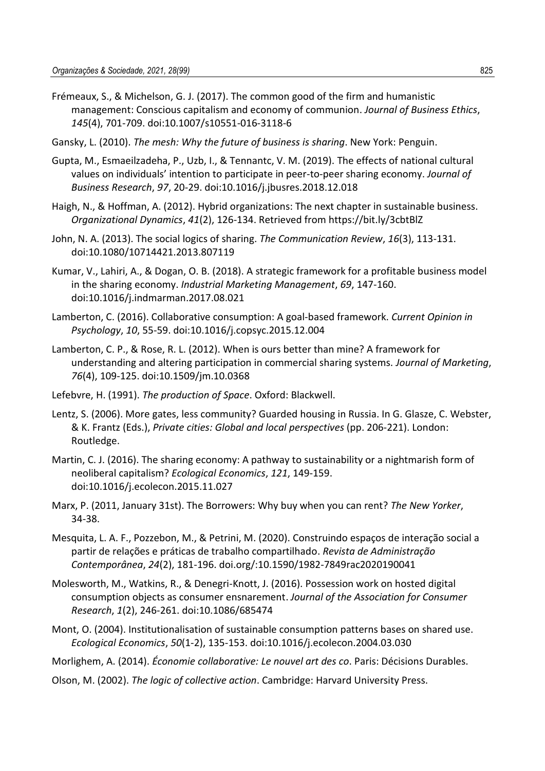- Frémeaux, S., & Michelson, G. J. (2017). The common good of the firm and humanistic management: Conscious capitalism and economy of communion. *Journal of Business Ethics*, *145*(4), 701-709. doi:10.1007/s10551-016-3118-6
- Gansky, L. (2010). *The mesh: Why the future of business is sharing*. New York: Penguin.
- Gupta, M., Esmaeilzadeha, P., Uzb, I., & Tennantc, V. M. (2019). The effects of national cultural values on individuals' intention to participate in peer-to-peer sharing economy. *Journal of Business Research*, *97*, 20-29. doi:10.1016/j.jbusres.2018.12.018
- Haigh, N., & Hoffman, A. (2012). Hybrid organizations: The next chapter in sustainable business. *Organizational Dynamics*, *41*(2), 126-134. Retrieved from https://bit.ly/3cbtBlZ
- John, N. A. (2013). The social logics of sharing. *The Communication Review*, *16*(3), 113-131. doi:10.1080/10714421.2013.807119
- Kumar, V., Lahiri, A., & Dogan, O. B. (2018). A strategic framework for a profitable business model in the sharing economy. *Industrial Marketing Management*, *69*, 147-160. doi:10.1016/j.indmarman.2017.08.021
- Lamberton, C. (2016). Collaborative consumption: A goal-based framework. *Current Opinion in Psychology*, *10*, 55-59. doi:10.1016/j.copsyc.2015.12.004
- Lamberton, C. P., & Rose, R. L. (2012). When is ours better than mine? A framework for understanding and altering participation in commercial sharing systems. *Journal of Marketing*, *76*(4), 109-125. doi:10.1509/jm.10.0368
- Lefebvre, H. (1991). *The production of Space*. Oxford: Blackwell.
- Lentz, S. (2006). More gates, less community? Guarded housing in Russia. In G. Glasze, C. Webster, & K. Frantz (Eds.), *Private cities: Global and local perspectives* (pp. 206-221). London: Routledge.
- Martin, C. J. (2016). The sharing economy: A pathway to sustainability or a nightmarish form of neoliberal capitalism? *Ecological Economics*, *121*, 149-159. doi:10.1016/j.ecolecon.2015.11.027
- Marx, P. (2011, January 31st). The Borrowers: Why buy when you can rent? *The New Yorker*, 34-38.
- Mesquita, L. A. F., Pozzebon, M., & Petrini, M. (2020). Construindo espaços de interação social a partir de relações e práticas de trabalho compartilhado. *Revista de Administração Contemporânea*, *24*(2), 181-196. doi.org/:10.1590/1982-7849rac2020190041
- Molesworth, M., Watkins, R., & Denegri-Knott, J. (2016). Possession work on hosted digital consumption objects as consumer ensnarement. *Journal of the Association for Consumer Research*, *1*(2), 246-261. doi:10.1086/685474
- Mont, O. (2004). Institutionalisation of sustainable consumption patterns bases on shared use. *Ecological Economics*, *50*(1-2), 135-153. doi:10.1016/j.ecolecon.2004.03.030

Morlighem, A. (2014). *Économie collaborative: Le nouvel art des co*. Paris: Décisions Durables.

Olson, M. (2002). *The logic of collective action*. Cambridge: Harvard University Press.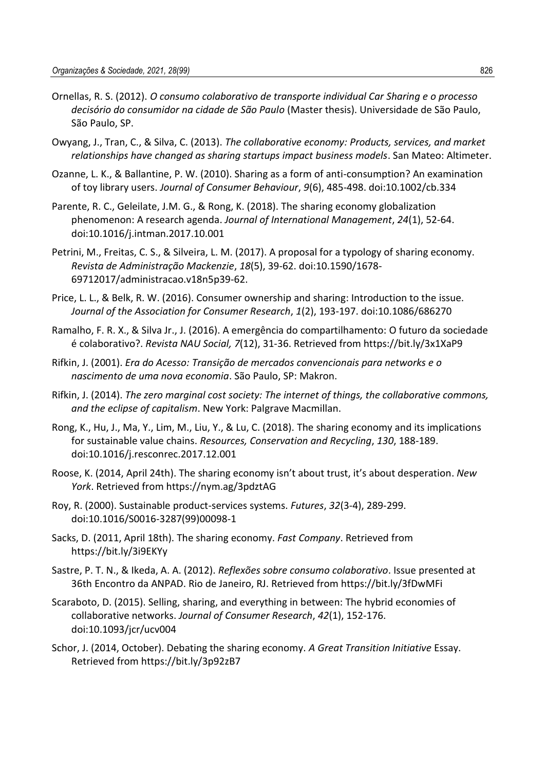- Ornellas, R. S. (2012). *O consumo colaborativo de transporte individual Car Sharing e o processo decisório do consumidor na cidade de São Paulo* (Master thesis). Universidade de São Paulo, São Paulo, SP.
- Owyang, J., Tran, C., & Silva, C. (2013). *The collaborative economy: Products, services, and market relationships have changed as sharing startups impact business models*. San Mateo: Altimeter.
- Ozanne, L. K., & Ballantine, P. W. (2010). Sharing as a form of anti-consumption? An examination of toy library users. *Journal of Consumer Behaviour*, *9*(6), 485-498. doi:10.1002/cb.334
- Parente, R. C., Geleilate, J.M. G., & Rong, K. (2018). The sharing economy globalization phenomenon: A research agenda. *Journal of International Management*, *24*(1), 52-64. doi:10.1016/j.intman.2017.10.001
- Petrini, M., Freitas, C. S., & Silveira, L. M. (2017). A proposal for a typology of sharing economy. *Revista de Administração Mackenzie*, *18*(5), 39-62. doi:10.1590/1678- 69712017/administracao.v18n5p39-62.
- Price, L. L., & Belk, R. W. (2016). Consumer ownership and sharing: Introduction to the issue. *Journal of the Association for Consumer Research*, *1*(2), 193-197. doi:10.1086/686270
- Ramalho, F. R. X., & Silva Jr., J. (2016). A emergência do compartilhamento: O futuro da sociedade é colaborativo?. *Revista NAU Social, 7*(12), 31-36. Retrieved from https://bit.ly/3x1XaP9
- Rifkin, J. (2001). *Era do Acesso: Transição de mercados convencionais para networks e o nascimento de uma nova economia*. São Paulo, SP: Makron.
- Rifkin, J. (2014). *The zero marginal cost society: The internet of things, the collaborative commons, and the eclipse of capitalism*. New York: Palgrave Macmillan.
- Rong, K., Hu, J., Ma, Y., Lim, M., Liu, Y., & Lu, C. (2018). The sharing economy and its implications for sustainable value chains. *Resources, Conservation and Recycling*, *130*, 188-189. doi:10.1016/j.resconrec.2017.12.001
- Roose, K. (2014, April 24th). The sharing economy isn't about trust, it's about desperation. *New York*. Retrieved from https://nym.ag/3pdztAG
- Roy, R. (2000). Sustainable product-services systems. *Futures*, *32*(3-4), 289-299. doi:10.1016/S0016-3287(99)00098-1
- Sacks, D. (2011, April 18th). The sharing economy. *Fast Company*. Retrieved from https://bit.ly/3i9EKYy
- Sastre, P. T. N., & Ikeda, A. A. (2012). *Reflexões sobre consumo colaborativo*. Issue presented at 36th Encontro da ANPAD. Rio de Janeiro, RJ. Retrieved from https://bit.ly/3fDwMFi
- Scaraboto, D. (2015). Selling, sharing, and everything in between: The hybrid economies of collaborative networks. *Journal of Consumer Research*, *42*(1), 152-176. doi:10.1093/jcr/ucv004
- Schor, J. (2014, October). Debating the sharing economy. *A Great Transition Initiative* Essay. Retrieved from https://bit.ly/3p92zB7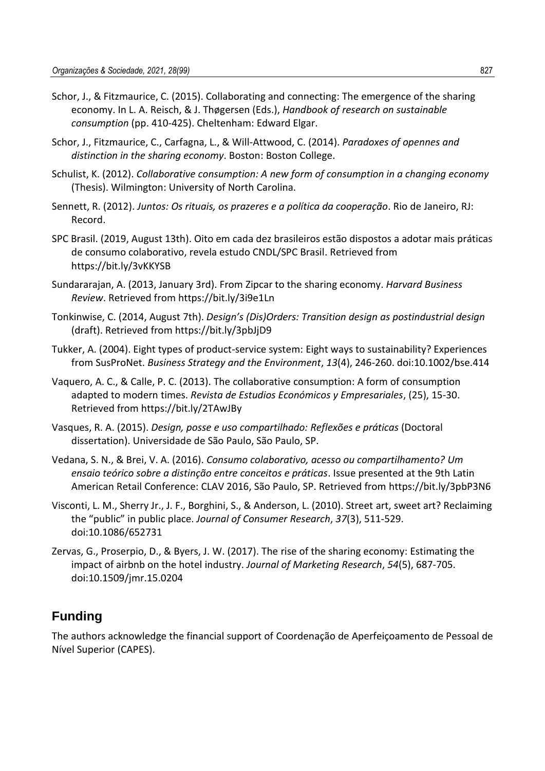- Schor, J., & Fitzmaurice, C. (2015). Collaborating and connecting: The emergence of the sharing economy. In L. A. Reisch, & J. Thøgersen (Eds.), *Handbook of research on sustainable consumption* (pp. 410-425). Cheltenham: Edward Elgar.
- Schor, J., Fitzmaurice, C., Carfagna, L., & Will-Attwood, C. (2014). *Paradoxes of opennes and distinction in the sharing economy*. Boston: Boston College.
- Schulist, K. (2012). *Collaborative consumption: A new form of consumption in a changing economy* (Thesis). Wilmington: University of North Carolina.
- Sennett, R. (2012). *Juntos: Os rituais, os prazeres e a política da cooperação*. Rio de Janeiro, RJ: Record.
- SPC Brasil. (2019, August 13th). Oito em cada dez brasileiros estão dispostos a adotar mais práticas de consumo colaborativo, revela estudo CNDL/SPC Brasil. Retrieved from https://bit.ly/3vKKYSB
- Sundararajan, A. (2013, January 3rd). From Zipcar to the sharing economy. *Harvard Business Review*. Retrieved from https://bit.ly/3i9e1Ln
- Tonkinwise, C. (2014, August 7th). *Design's (Dis)Orders: Transition design as postindustrial design* (draft). Retrieved from https://bit.ly/3pbJjD9
- Tukker, A. (2004). Eight types of product-service system: Eight ways to sustainability? Experiences from SusProNet. *Business Strategy and the Environment*, *13*(4), 246-260. doi:10.1002/bse.414
- Vaquero, A. C., & Calle, P. C. (2013). The collaborative consumption: A form of consumption adapted to modern times. *Revista de Estudios Económicos y Empresariales*, (25), 15-30. Retrieved from https://bit.ly/2TAwJBy
- Vasques, R. A. (2015). *Design, posse e uso compartilhado: Reflexões e práticas* (Doctoral dissertation). Universidade de São Paulo, São Paulo, SP.
- Vedana, S. N., & Brei, V. A. (2016). *Consumo colaborativo, acesso ou compartilhamento? Um ensaio teórico sobre a distinção entre conceitos e práticas*. Issue presented at the 9th Latin American Retail Conference: CLAV 2016, São Paulo, SP. Retrieved from https://bit.ly/3pbP3N6
- Visconti, L. M., Sherry Jr., J. F., Borghini, S., & Anderson, L. (2010). Street art, sweet art? Reclaiming the "public" in public place. *Journal of Consumer Research*, *37*(3), 511-529. doi:10.1086/652731
- Zervas, G., Proserpio, D., & Byers, J. W. (2017). The rise of the sharing economy: Estimating the impact of airbnb on the hotel industry. *Journal of Marketing Research*, *54*(5), 687-705. doi:10.1509/jmr.15.0204

## **Funding**

The authors acknowledge the financial support of Coordenação de Aperfeiçoamento de Pessoal de Nível Superior (CAPES).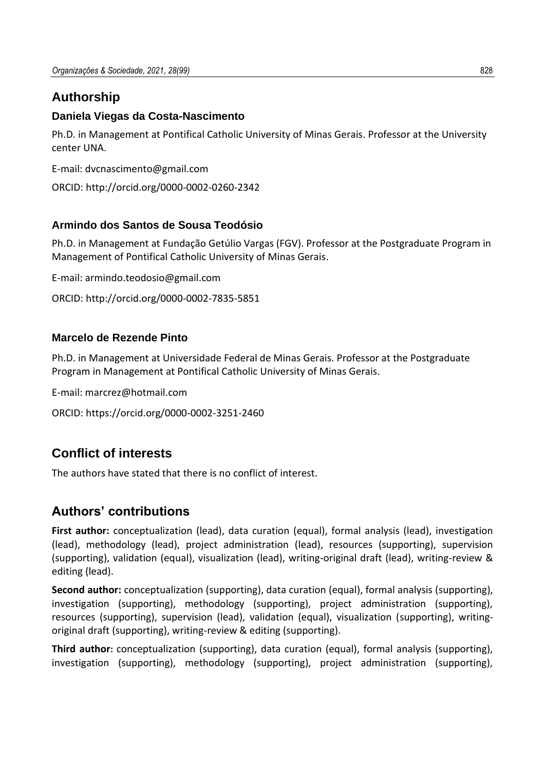# **Authorship**

## **Daniela Viegas da Costa-Nascimento**

Ph.D. in Management at Pontifical Catholic University of Minas Gerais. Professor at the University center UNA.

E-mail: dvcnascimento@gmail.com

ORCID: http://orcid.org/0000-0002-0260-2342

## **Armindo dos Santos de Sousa Teodósio**

Ph.D. in Management at Fundação Getúlio Vargas (FGV). Professor at the Postgraduate Program in Management of Pontifical Catholic University of Minas Gerais.

E-mail: armindo.teodosio@gmail.com

ORCID: http://orcid.org/0000-0002-7835-5851

## **Marcelo de Rezende Pinto**

Ph.D. in Management at Universidade Federal de Minas Gerais. Professor at the Postgraduate Program in Management at Pontifical Catholic University of Minas Gerais.

E-mail: marcrez@hotmail.com

```
ORCID: https://orcid.org/0000-0002-3251-2460
```
# **Conflict of interests**

The authors have stated that there is no conflict of interest.

# **Authors' contributions**

**First author:** conceptualization (lead), data curation (equal), formal analysis (lead), investigation (lead), methodology (lead), project administration (lead), resources (supporting), supervision (supporting), validation (equal), visualization (lead), writing-original draft (lead), writing-review & editing (lead).

**Second author:** conceptualization (supporting), data curation (equal), formal analysis (supporting), investigation (supporting), methodology (supporting), project administration (supporting), resources (supporting), supervision (lead), validation (equal), visualization (supporting), writingoriginal draft (supporting), writing-review & editing (supporting).

**Third author:** conceptualization (supporting), data curation (equal), formal analysis (supporting), investigation (supporting), methodology (supporting), project administration (supporting),